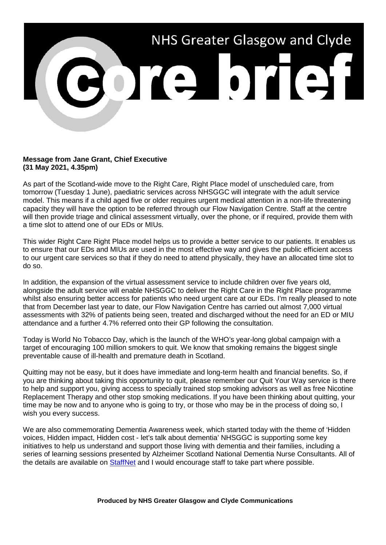

## **Message from Jane Grant, Chief Executive (31 May 2021, 4.35pm)**

As part of the Scotland-wide move to the Right Care, Right Place model of unscheduled care, from tomorrow (Tuesday 1 June), paediatric services across NHSGGC will integrate with the adult service model. This means if a child aged five or older requires urgent medical attention in a non-life threatening capacity they will have the option to be referred through our Flow Navigation Centre. Staff at the centre will then provide triage and clinical assessment virtually, over the phone, or if required, provide them with a time slot to attend one of our EDs or MIUs.

This wider Right Care Right Place model helps us to provide a better service to our patients. It enables us to ensure that our EDs and MIUs are used in the most effective way and gives the public efficient access to our urgent care services so that if they do need to attend physically, they have an allocated time slot to do so.

In addition, the expansion of the virtual assessment service to include children over five years old, alongside the adult service will enable NHSGGC to deliver the Right Care in the Right Place programme whilst also ensuring better access for patients who need urgent care at our EDs. I'm really pleased to note that from December last year to date, our Flow Navigation Centre has carried out almost 7,000 virtual assessments with 32% of patients being seen, treated and discharged without the need for an ED or MIU attendance and a further 4.7% referred onto their GP following the consultation.

Today is World No Tobacco Day, which is the launch of the WHO's year-long global campaign with a target of encouraging 100 million smokers to quit. We know that smoking remains the biggest single preventable cause of ill-health and premature death in Scotland.

Quitting may not be easy, but it does have immediate and long-term health and financial benefits. So, if you are thinking about taking this opportunity to quit, please remember our Quit Your Way service is there to help and support you, giving access to specially trained stop smoking advisors as well as free Nicotine Replacement Therapy and other stop smoking medications. If you have been thinking about quitting, your time may be now and to anyone who is going to try, or those who may be in the process of doing so, I wish you every success.

We are also commemorating Dementia Awareness week, which started today with the theme of 'Hidden voices, Hidden impact, Hidden cost - let's talk about dementia' NHSGGC is supporting some key initiatives to help us understand and support those living with dementia and their families, including a series of learning sessions presented by Alzheimer Scotland National Dementia Nurse Consultants. All of the details are available on [StaffNet](http://www.staffnet.ggc.scot.nhs.uk/Corporate%20Services/Communications/Hot%20Topics/Pages/comms_DementiaAwarenessWeek31May-MB_270515.aspx) and I would encourage staff to take part where possible.